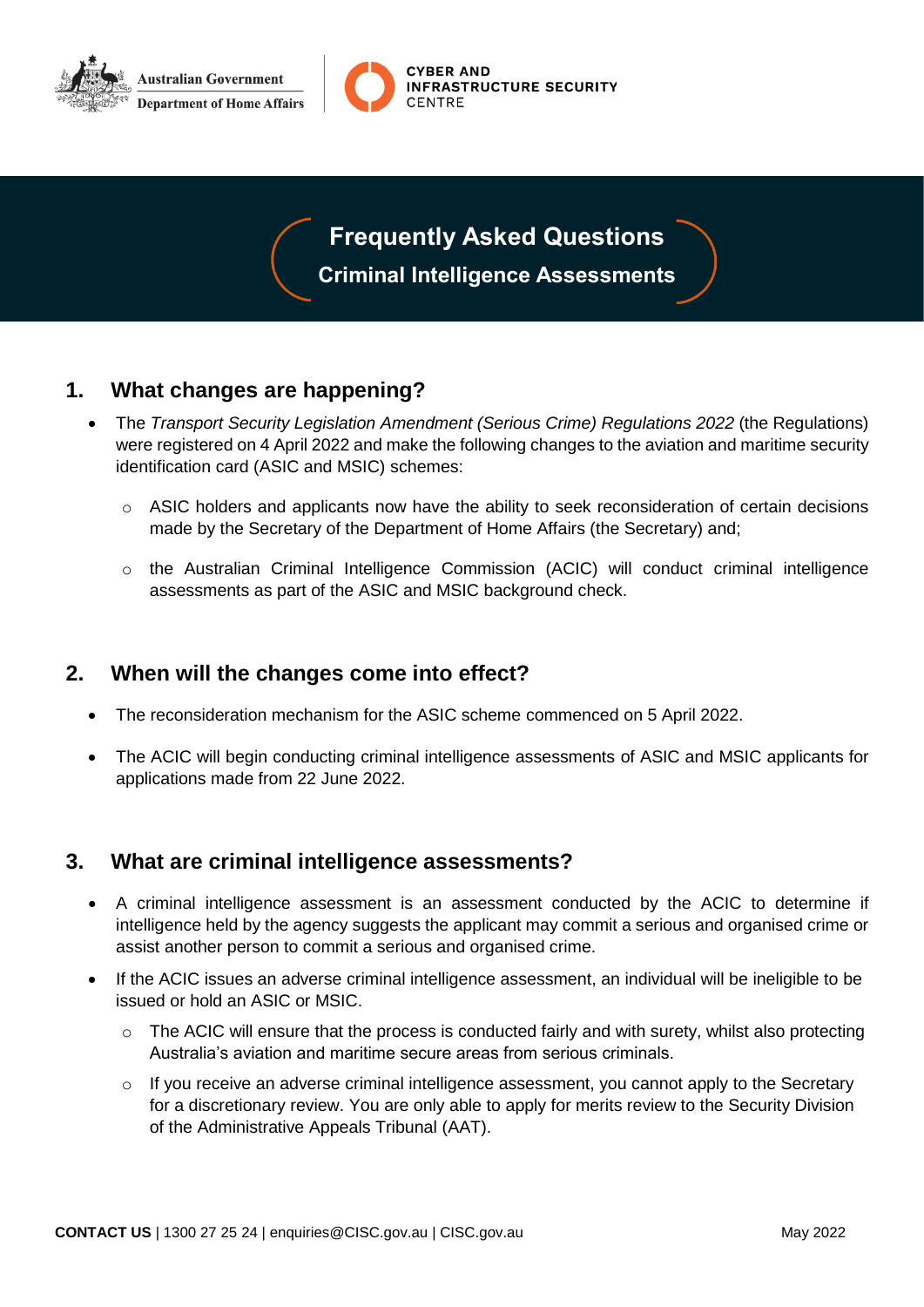



### **Frequently Asked Questions**

**Criminal Intelligence Assessments**

#### **1. What changes are happening?**

- The *Transport Security Legislation Amendment (Serious Crime) Regulations 2022* (the Regulations) were registered on 4 April 2022 and make the following changes to the aviation and maritime security identification card (ASIC and MSIC) schemes:
	- o ASIC holders and applicants now have the ability to seek reconsideration of certain decisions made by the Secretary of the Department of Home Affairs (the Secretary) and;
	- $\circ$  the Australian Criminal Intelligence Commission (ACIC) will conduct criminal intelligence assessments as part of the ASIC and MSIC background check.

#### **2. When will the changes come into effect?**

- The reconsideration mechanism for the ASIC scheme commenced on 5 April 2022.
- The ACIC will begin conducting criminal intelligence assessments of ASIC and MSIC applicants for applications made from 22 June 2022.

#### **3. What are criminal intelligence assessments?**

- A criminal intelligence assessment is an assessment conducted by the ACIC to determine if intelligence held by the agency suggests the applicant may commit a serious and organised crime or assist another person to commit a serious and organised crime.
- If the ACIC issues an adverse criminal intelligence assessment, an individual will be ineligible to be issued or hold an ASIC or MSIC.
	- $\circ$  The ACIC will ensure that the process is conducted fairly and with surety, whilst also protecting Australia's aviation and maritime secure areas from serious criminals.
	- $\circ$  If you receive an adverse criminal intelligence assessment, you cannot apply to the Secretary for a discretionary review. You are only able to apply for merits review to the Security Division of the Administrative Appeals Tribunal (AAT).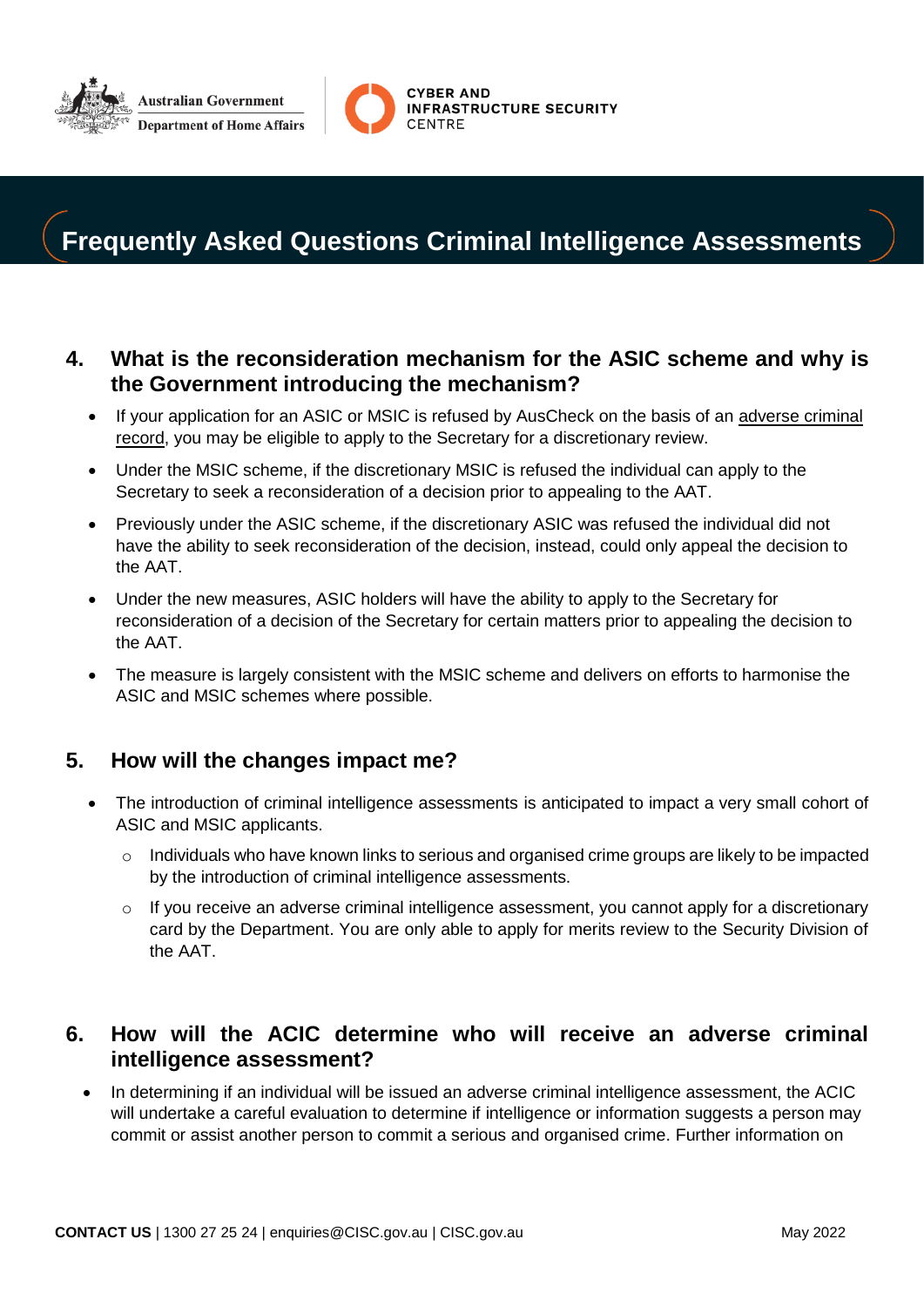



## **Frequently Asked Questions Criminal Intelligence Assessments**

#### **4. What is the reconsideration mechanism for the ASIC scheme and why is the Government introducing the mechanism?**

- If your application for an ASIC or MSIC is refused by AusCheck on the basis of an adverse criminal record, you may be eligible to apply to the Secretary for a discretionary review.
- Under the MSIC scheme, if the discretionary MSIC is refused the individual can apply to the Secretary to seek a reconsideration of a decision prior to appealing to the AAT.
- Previously under the ASIC scheme, if the discretionary ASIC was refused the individual did not have the ability to seek reconsideration of the decision, instead, could only appeal the decision to the AAT.
- Under the new measures, ASIC holders will have the ability to apply to the Secretary for reconsideration of a decision of the Secretary for certain matters prior to appealing the decision to the AAT.
- The measure is largely consistent with the MSIC scheme and delivers on efforts to harmonise the ASIC and MSIC schemes where possible.

#### **5. How will the changes impact me?**

- The introduction of criminal intelligence assessments is anticipated to impact a very small cohort of ASIC and MSIC applicants.
	- o Individuals who have known links to serious and organised crime groups are likely to be impacted by the introduction of criminal intelligence assessments.
	- o If you receive an adverse criminal intelligence assessment, you cannot apply for a discretionary card by the Department. You are only able to apply for merits review to the Security Division of the AAT.

#### **6. How will the ACIC determine who will receive an adverse criminal intelligence assessment?**

 In determining if an individual will be issued an adverse criminal intelligence assessment, the ACIC will undertake a careful evaluation to determine if intelligence or information suggests a person may commit or assist another person to commit a serious and organised crime. Further information on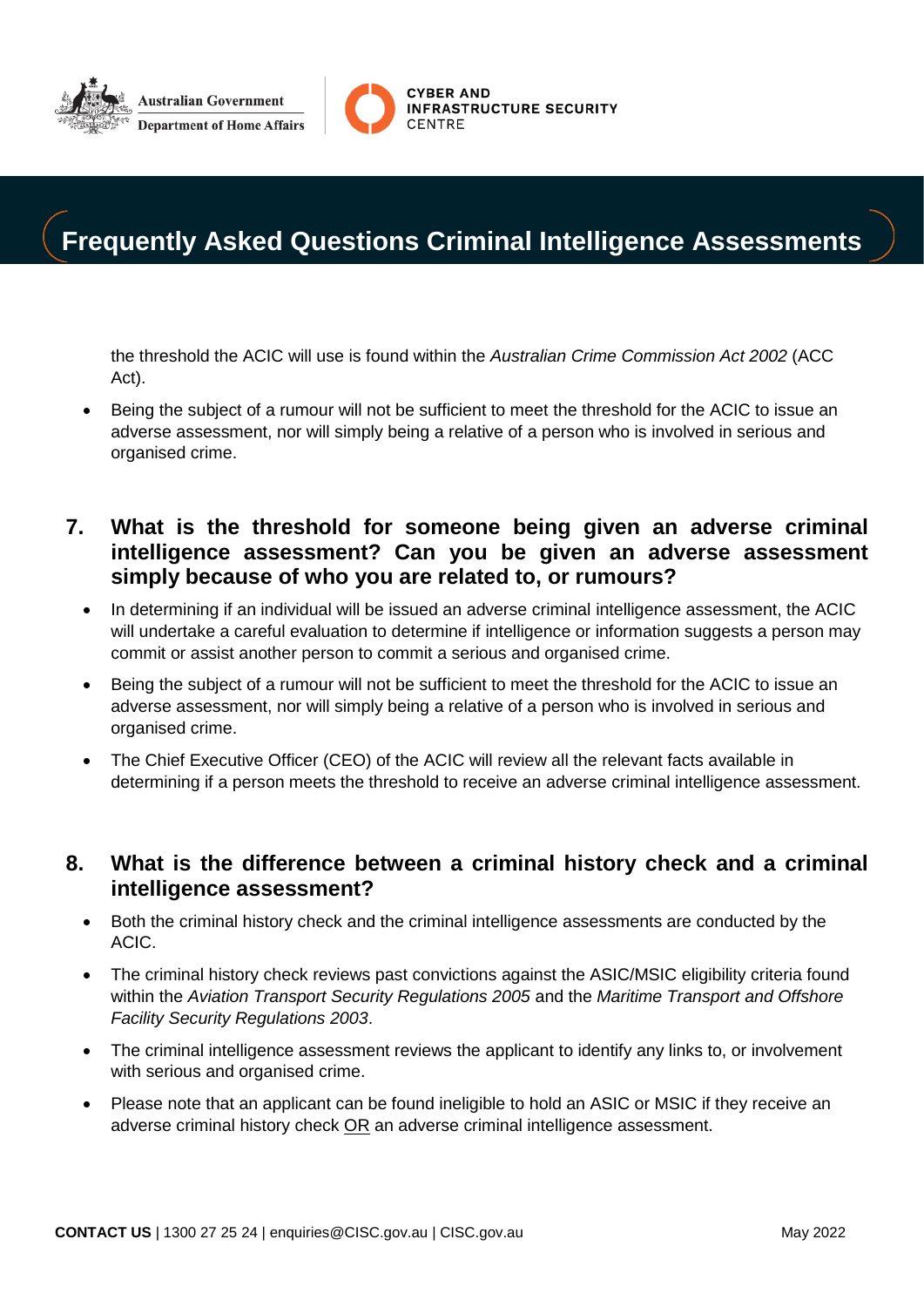



### **Frequently Asked Questions Criminal Intelligence Assessments**

the threshold the ACIC will use is found within the *Australian Crime Commission Act 2002* (ACC Act).

 Being the subject of a rumour will not be sufficient to meet the threshold for the ACIC to issue an adverse assessment, nor will simply being a relative of a person who is involved in serious and organised crime.

#### **7. What is the threshold for someone being given an adverse criminal intelligence assessment? Can you be given an adverse assessment simply because of who you are related to, or rumours?**

- In determining if an individual will be issued an adverse criminal intelligence assessment, the ACIC will undertake a careful evaluation to determine if intelligence or information suggests a person may commit or assist another person to commit a serious and organised crime.
- Being the subject of a rumour will not be sufficient to meet the threshold for the ACIC to issue an adverse assessment, nor will simply being a relative of a person who is involved in serious and organised crime.
- The Chief Executive Officer (CEO) of the ACIC will review all the relevant facts available in determining if a person meets the threshold to receive an adverse criminal intelligence assessment.

#### **8. What is the difference between a criminal history check and a criminal intelligence assessment?**

- Both the criminal history check and the criminal intelligence assessments are conducted by the ACIC.
- The criminal history check reviews past convictions against the ASIC/MSIC eligibility criteria found within the *Aviation Transport Security Regulations 2005* and the *Maritime Transport and Offshore Facility Security Regulations 2003*.
- The criminal intelligence assessment reviews the applicant to identify any links to, or involvement with serious and organised crime.
- Please note that an applicant can be found ineligible to hold an ASIC or MSIC if they receive an adverse criminal history check OR an adverse criminal intelligence assessment.